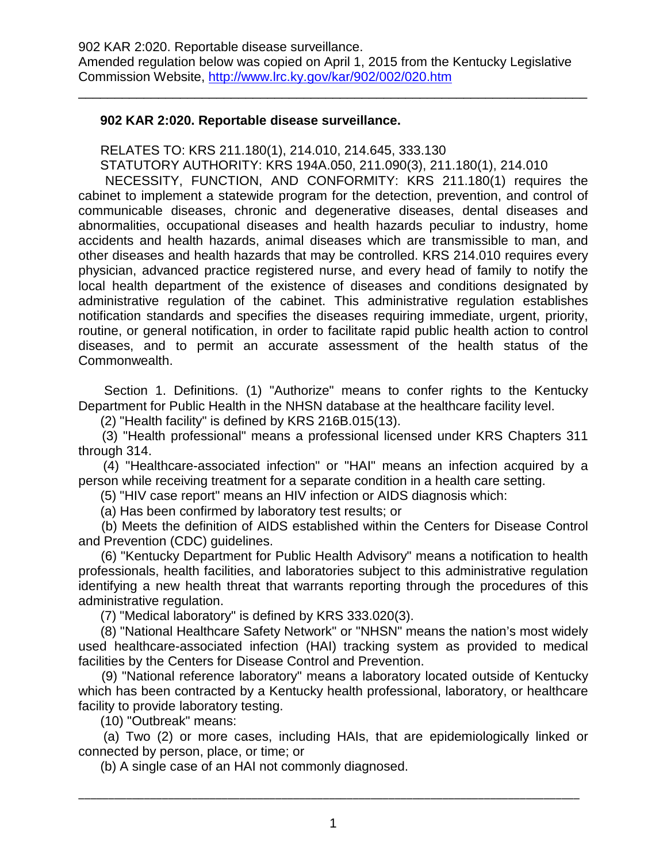\_\_\_\_\_\_\_\_\_\_\_\_\_\_\_\_\_\_\_\_\_\_\_\_\_\_\_\_\_\_\_\_\_\_\_\_\_\_\_\_\_\_\_\_\_\_\_\_\_\_\_\_\_\_\_\_\_\_\_\_\_\_\_\_\_\_\_\_\_\_

## **902 KAR 2:020. Reportable disease surveillance.**

RELATES TO: KRS 211.180(1), 214.010, 214.645, 333.130

STATUTORY AUTHORITY: KRS 194A.050, 211.090(3), 211.180(1), 214.010

 NECESSITY, FUNCTION, AND CONFORMITY: KRS 211.180(1) requires the cabinet to implement a statewide program for the detection, prevention, and control of communicable diseases, chronic and degenerative diseases, dental diseases and abnormalities, occupational diseases and health hazards peculiar to industry, home accidents and health hazards, animal diseases which are transmissible to man, and other diseases and health hazards that may be controlled. KRS 214.010 requires every physician, advanced practice registered nurse, and every head of family to notify the local health department of the existence of diseases and conditions designated by administrative regulation of the cabinet. This administrative regulation establishes notification standards and specifies the diseases requiring immediate, urgent, priority, routine, or general notification, in order to facilitate rapid public health action to control diseases, and to permit an accurate assessment of the health status of the Commonwealth.

 Section 1. Definitions. (1) "Authorize" means to confer rights to the Kentucky Department for Public Health in the NHSN database at the healthcare facility level.

(2) "Health facility" is defined by KRS 216B.015(13).

 (3) "Health professional" means a professional licensed under KRS Chapters 311 through 314.

 (4) "Healthcare-associated infection" or "HAI" means an infection acquired by a person while receiving treatment for a separate condition in a health care setting.

(5) "HIV case report" means an HIV infection or AIDS diagnosis which:

(a) Has been confirmed by laboratory test results; or

 (b) Meets the definition of AIDS established within the Centers for Disease Control and Prevention (CDC) guidelines.

 (6) "Kentucky Department for Public Health Advisory" means a notification to health professionals, health facilities, and laboratories subject to this administrative regulation identifying a new health threat that warrants reporting through the procedures of this administrative regulation.

(7) "Medical laboratory" is defined by KRS 333.020(3).

 (8) "National Healthcare Safety Network" or "NHSN" means the nation's most widely used healthcare-associated infection (HAI) tracking system as provided to medical facilities by the Centers for Disease Control and Prevention.

 (9) "National reference laboratory" means a laboratory located outside of Kentucky which has been contracted by a Kentucky health professional, laboratory, or healthcare facility to provide laboratory testing.

(10) "Outbreak" means:

 (a) Two (2) or more cases, including HAIs, that are epidemiologically linked or connected by person, place, or time; or

(b) A single case of an HAI not commonly diagnosed.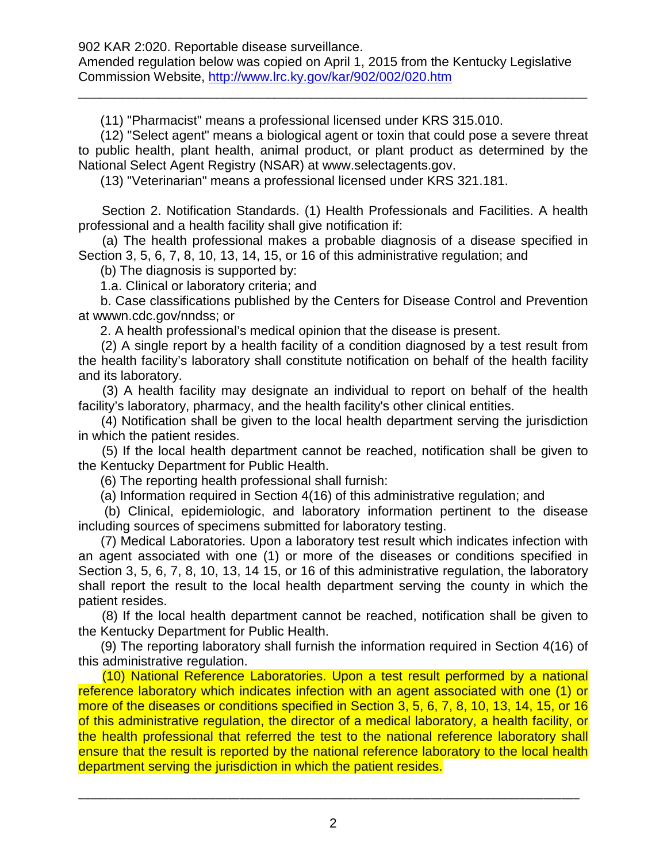\_\_\_\_\_\_\_\_\_\_\_\_\_\_\_\_\_\_\_\_\_\_\_\_\_\_\_\_\_\_\_\_\_\_\_\_\_\_\_\_\_\_\_\_\_\_\_\_\_\_\_\_\_\_\_\_\_\_\_\_\_\_\_\_\_\_\_\_\_\_

(11) "Pharmacist" means a professional licensed under KRS 315.010.

 (12) "Select agent" means a biological agent or toxin that could pose a severe threat to public health, plant health, animal product, or plant product as determined by the National Select Agent Registry (NSAR) at [www.selectagents.gov.](http://www.selectagents.gov/)

(13) "Veterinarian" means a professional licensed under KRS 321.181.

 Section 2. Notification Standards. (1) Health Professionals and Facilities. A health professional and a health facility shall give notification if:

 (a) The health professional makes a probable diagnosis of a disease specified in Section 3, 5, 6, 7, 8, 10, 13, 14, 15, or 16 of this administrative regulation; and

(b) The diagnosis is supported by:

1.a. Clinical or laboratory criteria; and

 b. Case classifications published by the Centers for Disease Control and Prevention at wwwn.cdc.gov/nndss; or

2. A health professional's medical opinion that the disease is present.

 (2) A single report by a health facility of a condition diagnosed by a test result from the health facility's laboratory shall constitute notification on behalf of the health facility and its laboratory.

 (3) A health facility may designate an individual to report on behalf of the health facility's laboratory, pharmacy, and the health facility's other clinical entities.

 (4) Notification shall be given to the local health department serving the jurisdiction in which the patient resides.

 (5) If the local health department cannot be reached, notification shall be given to the Kentucky Department for Public Health.

(6) The reporting health professional shall furnish:

(a) Information required in Section 4(16) of this administrative regulation; and

 (b) Clinical, epidemiologic, and laboratory information pertinent to the disease including sources of specimens submitted for laboratory testing.

 (7) Medical Laboratories. Upon a laboratory test result which indicates infection with an agent associated with one (1) or more of the diseases or conditions specified in Section 3, 5, 6, 7, 8, 10, 13, 14 15, or 16 of this administrative regulation, the laboratory shall report the result to the local health department serving the county in which the patient resides.

 (8) If the local health department cannot be reached, notification shall be given to the Kentucky Department for Public Health.

 (9) The reporting laboratory shall furnish the information required in Section 4(16) of this administrative regulation.

 (10) National Reference Laboratories. Upon a test result performed by a national reference laboratory which indicates infection with an agent associated with one (1) or more of the diseases or conditions specified in Section 3, 5, 6, 7, 8, 10, 13, 14, 15, or 16 of this administrative regulation, the director of a medical laboratory, a health facility, or the health professional that referred the test to the national reference laboratory shall ensure that the result is reported by the national reference laboratory to the local health department serving the jurisdiction in which the patient resides.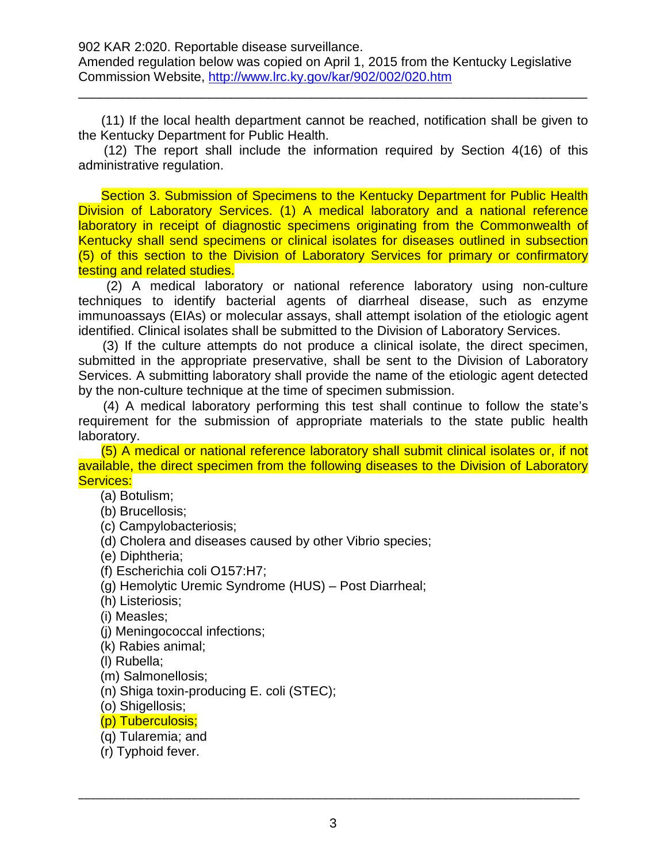(11) If the local health department cannot be reached, notification shall be given to the Kentucky Department for Public Health.

\_\_\_\_\_\_\_\_\_\_\_\_\_\_\_\_\_\_\_\_\_\_\_\_\_\_\_\_\_\_\_\_\_\_\_\_\_\_\_\_\_\_\_\_\_\_\_\_\_\_\_\_\_\_\_\_\_\_\_\_\_\_\_\_\_\_\_\_\_\_

 (12) The report shall include the information required by Section 4(16) of this administrative regulation.

 Section 3. Submission of Specimens to the Kentucky Department for Public Health Division of Laboratory Services. (1) A medical laboratory and a national reference laboratory in receipt of diagnostic specimens originating from the Commonwealth of Kentucky shall send specimens or clinical isolates for diseases outlined in subsection (5) of this section to the Division of Laboratory Services for primary or confirmatory testing and related studies.

 (2) A medical laboratory or national reference laboratory using non-culture techniques to identify bacterial agents of diarrheal disease, such as enzyme immunoassays (EIAs) or molecular assays, shall attempt isolation of the etiologic agent identified. Clinical isolates shall be submitted to the Division of Laboratory Services.

 (3) If the culture attempts do not produce a clinical isolate, the direct specimen, submitted in the appropriate preservative, shall be sent to the Division of Laboratory Services. A submitting laboratory shall provide the name of the etiologic agent detected by the non-culture technique at the time of specimen submission.

 (4) A medical laboratory performing this test shall continue to follow the state's requirement for the submission of appropriate materials to the state public health laboratory.

 (5) A medical or national reference laboratory shall submit clinical isolates or, if not available, the direct specimen from the following diseases to the Division of Laboratory Services:

(a) Botulism;

- (b) Brucellosis;
- (c) Campylobacteriosis;
- (d) Cholera and diseases caused by other Vibrio species;
- (e) Diphtheria;
- (f) Escherichia coli O157:H7;
- (g) Hemolytic Uremic Syndrome (HUS) Post Diarrheal;
- (h) Listeriosis;
- (i) Measles;
- (j) Meningococcal infections;
- (k) Rabies animal;
- (l) Rubella;
- (m) Salmonellosis;
- (n) Shiga toxin-producing E. coli (STEC);
- (o) Shigellosis;
- (p) Tuberculosis;
- (q) Tularemia; and
- (r) Typhoid fever.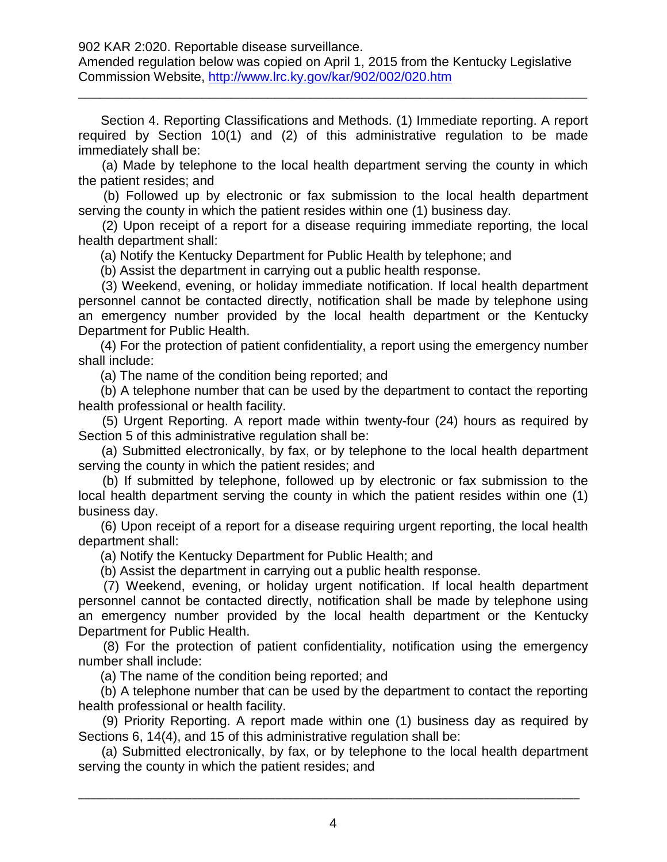Amended regulation below was copied on April 1, 2015 from the Kentucky Legislative Commission Website,<http://www.lrc.ky.gov/kar/902/002/020.htm>

\_\_\_\_\_\_\_\_\_\_\_\_\_\_\_\_\_\_\_\_\_\_\_\_\_\_\_\_\_\_\_\_\_\_\_\_\_\_\_\_\_\_\_\_\_\_\_\_\_\_\_\_\_\_\_\_\_\_\_\_\_\_\_\_\_\_\_\_\_\_

 Section 4. Reporting Classifications and Methods. (1) Immediate reporting. A report required by Section 10(1) and (2) of this administrative regulation to be made immediately shall be:

 (a) Made by telephone to the local health department serving the county in which the patient resides; and

 (b) Followed up by electronic or fax submission to the local health department serving the county in which the patient resides within one (1) business day.

 (2) Upon receipt of a report for a disease requiring immediate reporting, the local health department shall:

(a) Notify the Kentucky Department for Public Health by telephone; and

(b) Assist the department in carrying out a public health response.

 (3) Weekend, evening, or holiday immediate notification. If local health department personnel cannot be contacted directly, notification shall be made by telephone using an emergency number provided by the local health department or the Kentucky Department for Public Health.

 (4) For the protection of patient confidentiality, a report using the emergency number shall include:

(a) The name of the condition being reported; and

 (b) A telephone number that can be used by the department to contact the reporting health professional or health facility.

 (5) Urgent Reporting. A report made within twenty-four (24) hours as required by Section 5 of this administrative regulation shall be:

 (a) Submitted electronically, by fax, or by telephone to the local health department serving the county in which the patient resides; and

 (b) If submitted by telephone, followed up by electronic or fax submission to the local health department serving the county in which the patient resides within one (1) business day.

 (6) Upon receipt of a report for a disease requiring urgent reporting, the local health department shall:

(a) Notify the Kentucky Department for Public Health; and

(b) Assist the department in carrying out a public health response.

 (7) Weekend, evening, or holiday urgent notification. If local health department personnel cannot be contacted directly, notification shall be made by telephone using an emergency number provided by the local health department or the Kentucky Department for Public Health.

 (8) For the protection of patient confidentiality, notification using the emergency number shall include:

(a) The name of the condition being reported; and

 (b) A telephone number that can be used by the department to contact the reporting health professional or health facility.

 (9) Priority Reporting. A report made within one (1) business day as required by Sections 6, 14(4), and 15 of this administrative regulation shall be:

 (a) Submitted electronically, by fax, or by telephone to the local health department serving the county in which the patient resides; and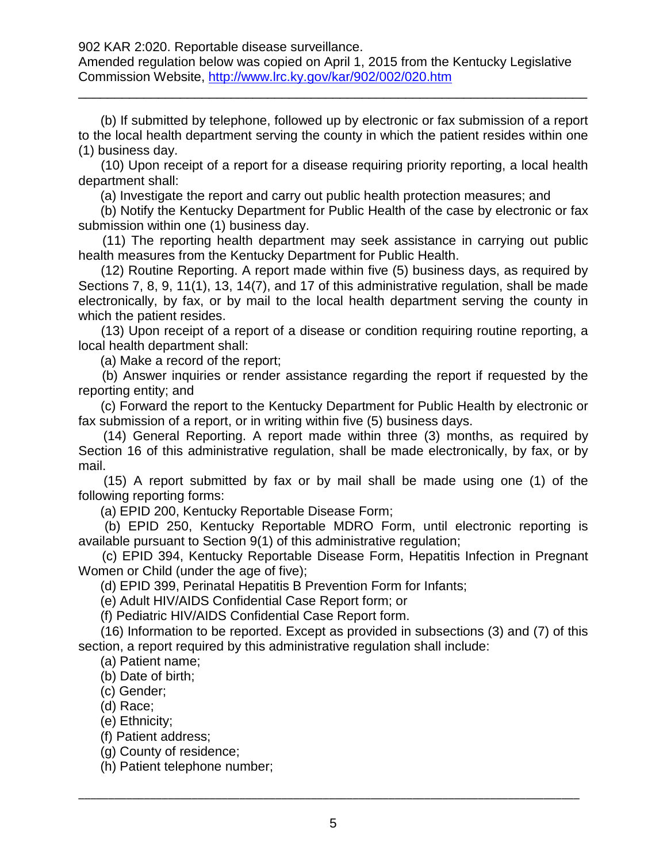Amended regulation below was copied on April 1, 2015 from the Kentucky Legislative Commission Website,<http://www.lrc.ky.gov/kar/902/002/020.htm>

\_\_\_\_\_\_\_\_\_\_\_\_\_\_\_\_\_\_\_\_\_\_\_\_\_\_\_\_\_\_\_\_\_\_\_\_\_\_\_\_\_\_\_\_\_\_\_\_\_\_\_\_\_\_\_\_\_\_\_\_\_\_\_\_\_\_\_\_\_\_

 (b) If submitted by telephone, followed up by electronic or fax submission of a report to the local health department serving the county in which the patient resides within one (1) business day.

 (10) Upon receipt of a report for a disease requiring priority reporting, a local health department shall:

(a) Investigate the report and carry out public health protection measures; and

 (b) Notify the Kentucky Department for Public Health of the case by electronic or fax submission within one (1) business day.

 (11) The reporting health department may seek assistance in carrying out public health measures from the Kentucky Department for Public Health.

 (12) Routine Reporting. A report made within five (5) business days, as required by Sections 7, 8, 9, 11(1), 13, 14(7), and 17 of this administrative regulation, shall be made electronically, by fax, or by mail to the local health department serving the county in which the patient resides.

 (13) Upon receipt of a report of a disease or condition requiring routine reporting, a local health department shall:

(a) Make a record of the report;

 (b) Answer inquiries or render assistance regarding the report if requested by the reporting entity; and

 (c) Forward the report to the Kentucky Department for Public Health by electronic or fax submission of a report, or in writing within five (5) business days.

 (14) General Reporting. A report made within three (3) months, as required by Section 16 of this administrative regulation, shall be made electronically, by fax, or by mail.

 (15) A report submitted by fax or by mail shall be made using one (1) of the following reporting forms:

(a) EPID 200, Kentucky Reportable Disease Form;

 (b) EPID 250, Kentucky Reportable MDRO Form, until electronic reporting is available pursuant to Section 9(1) of this administrative regulation;

 (c) EPID 394, Kentucky Reportable Disease Form, Hepatitis Infection in Pregnant Women or Child (under the age of five);

(d) EPID 399, Perinatal Hepatitis B Prevention Form for Infants;

(e) Adult HIV/AIDS Confidential Case Report form; or

(f) Pediatric HIV/AIDS Confidential Case Report form.

 (16) Information to be reported. Except as provided in subsections (3) and (7) of this section, a report required by this administrative regulation shall include:

(a) Patient name;

(b) Date of birth;

(c) Gender;

(d) Race;

(e) Ethnicity;

(f) Patient address;

(g) County of residence;

(h) Patient telephone number;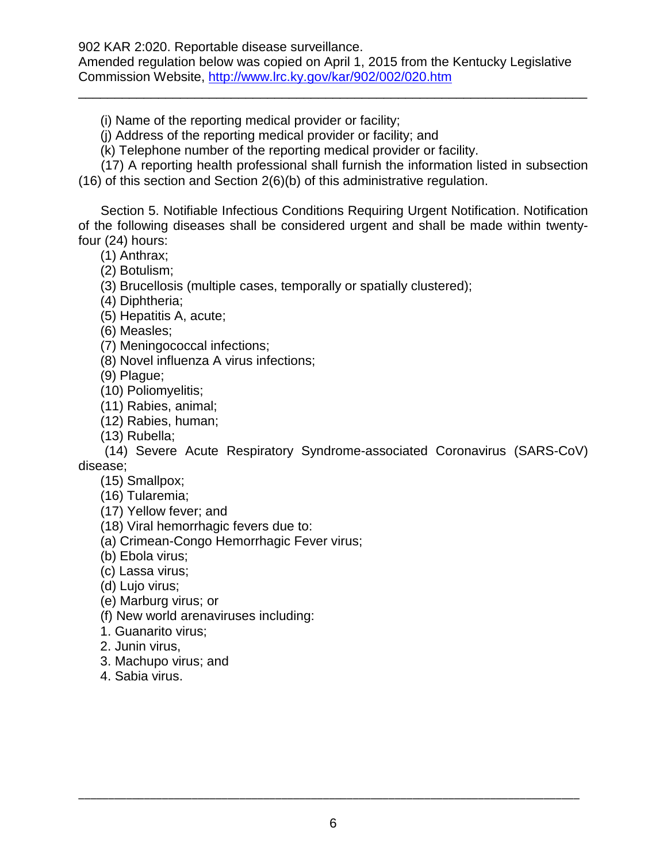Amended regulation below was copied on April 1, 2015 from the Kentucky Legislative Commission Website,<http://www.lrc.ky.gov/kar/902/002/020.htm>

\_\_\_\_\_\_\_\_\_\_\_\_\_\_\_\_\_\_\_\_\_\_\_\_\_\_\_\_\_\_\_\_\_\_\_\_\_\_\_\_\_\_\_\_\_\_\_\_\_\_\_\_\_\_\_\_\_\_\_\_\_\_\_\_\_\_\_\_\_\_

(i) Name of the reporting medical provider or facility;

(j) Address of the reporting medical provider or facility; and

(k) Telephone number of the reporting medical provider or facility.

 (17) A reporting health professional shall furnish the information listed in subsection (16) of this section and Section 2(6)(b) of this administrative regulation.

 Section 5. Notifiable Infectious Conditions Requiring Urgent Notification. Notification of the following diseases shall be considered urgent and shall be made within twentyfour (24) hours:

(1) Anthrax;

(2) Botulism;

(3) Brucellosis (multiple cases, temporally or spatially clustered);

(4) Diphtheria;

(5) Hepatitis A, acute;

(6) Measles;

(7) Meningococcal infections;

(8) Novel influenza A virus infections;

(9) Plague;

(10) Poliomyelitis;

(11) Rabies, animal;

(12) Rabies, human;

(13) Rubella;

 (14) Severe Acute Respiratory Syndrome-associated Coronavirus (SARS-CoV) disease;

(15) Smallpox;

(16) Tularemia;

(17) Yellow fever; and

(18) Viral hemorrhagic fevers due to:

(a) Crimean-Congo Hemorrhagic Fever virus;

(b) Ebola virus;

(c) Lassa virus;

(d) Lujo virus;

(e) Marburg virus; or

(f) New world arenaviruses including:

1. Guanarito virus;

2. Junin virus,

3. Machupo virus; and

4. Sabia virus.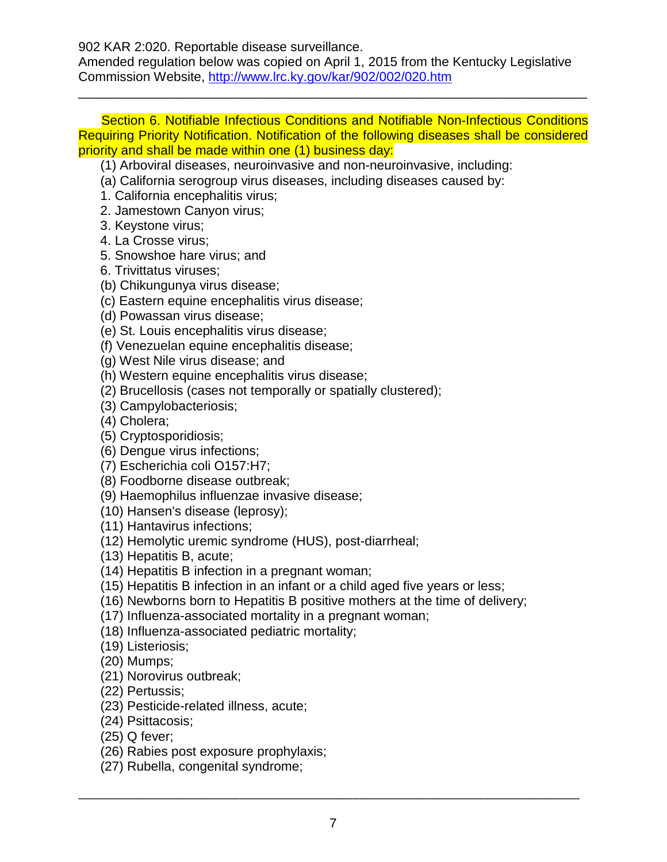Amended regulation below was copied on April 1, 2015 from the Kentucky Legislative Commission Website,<http://www.lrc.ky.gov/kar/902/002/020.htm>

 Section 6. Notifiable Infectious Conditions and Notifiable Non-Infectious Conditions Requiring Priority Notification. Notification of the following diseases shall be considered priority and shall be made within one (1) business day:

\_\_\_\_\_\_\_\_\_\_\_\_\_\_\_\_\_\_\_\_\_\_\_\_\_\_\_\_\_\_\_\_\_\_\_\_\_\_\_\_\_\_\_\_\_\_\_\_\_\_\_\_\_\_\_\_\_\_\_\_\_\_\_\_\_\_\_\_\_\_

(1) Arboviral diseases, neuroinvasive and non-neuroinvasive, including:

- (a) California serogroup virus diseases, including diseases caused by:
- 1. California encephalitis virus;
- 2. Jamestown Canyon virus;
- 3. Keystone virus;
- 4. La Crosse virus;
- 5. Snowshoe hare virus; and
- 6. Trivittatus viruses;
- (b) Chikungunya virus disease;
- (c) Eastern equine encephalitis virus disease;
- (d) Powassan virus disease;
- (e) St. Louis encephalitis virus disease;
- (f) Venezuelan equine encephalitis disease;
- (g) West Nile virus disease; and
- (h) Western equine encephalitis virus disease;
- (2) Brucellosis (cases not temporally or spatially clustered);
- (3) Campylobacteriosis;
- (4) Cholera;
- (5) Cryptosporidiosis;
- (6) Dengue virus infections;
- (7) Escherichia coli O157:H7;
- (8) Foodborne disease outbreak;
- (9) Haemophilus influenzae invasive disease;
- (10) Hansen's disease (leprosy);
- (11) Hantavirus infections;
- (12) Hemolytic uremic syndrome (HUS), post-diarrheal;
- (13) Hepatitis B, acute;
- (14) Hepatitis B infection in a pregnant woman;
- (15) Hepatitis B infection in an infant or a child aged five years or less;
- (16) Newborns born to Hepatitis B positive mothers at the time of delivery;
- (17) Influenza-associated mortality in a pregnant woman;
- (18) Influenza-associated pediatric mortality;
- (19) Listeriosis;
- (20) Mumps;
- (21) Norovirus outbreak;
- (22) Pertussis;
- (23) Pesticide-related illness, acute;
- (24) Psittacosis;
- (25) Q fever;
- (26) Rabies post exposure prophylaxis;
- (27) Rubella, congenital syndrome;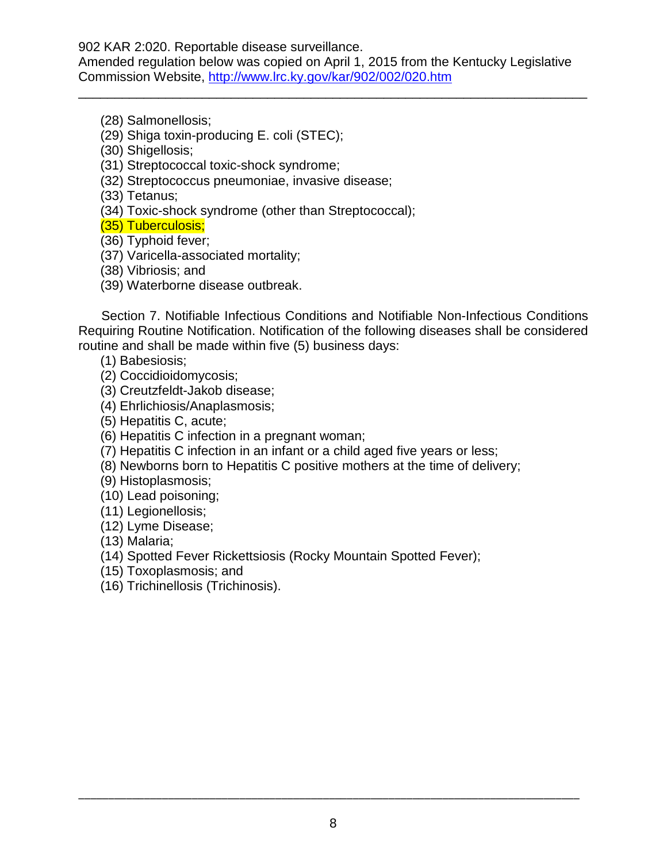Amended regulation below was copied on April 1, 2015 from the Kentucky Legislative Commission Website,<http://www.lrc.ky.gov/kar/902/002/020.htm>

\_\_\_\_\_\_\_\_\_\_\_\_\_\_\_\_\_\_\_\_\_\_\_\_\_\_\_\_\_\_\_\_\_\_\_\_\_\_\_\_\_\_\_\_\_\_\_\_\_\_\_\_\_\_\_\_\_\_\_\_\_\_\_\_\_\_\_\_\_\_

- (28) Salmonellosis;
- (29) Shiga toxin-producing E. coli (STEC);
- (30) Shigellosis;
- (31) Streptococcal toxic-shock syndrome;
- (32) Streptococcus pneumoniae, invasive disease;
- (33) Tetanus;
- (34) Toxic-shock syndrome (other than Streptococcal);
- (35) Tuberculosis;
- (36) Typhoid fever;
- (37) Varicella-associated mortality;
- (38) Vibriosis; and
- (39) Waterborne disease outbreak.

 Section 7. Notifiable Infectious Conditions and Notifiable Non-Infectious Conditions Requiring Routine Notification. Notification of the following diseases shall be considered routine and shall be made within five (5) business days:

- (1) Babesiosis;
- (2) Coccidioidomycosis;
- (3) Creutzfeldt-Jakob disease;
- (4) Ehrlichiosis/Anaplasmosis;
- (5) Hepatitis C, acute;
- (6) Hepatitis C infection in a pregnant woman;
- (7) Hepatitis C infection in an infant or a child aged five years or less;
- (8) Newborns born to Hepatitis C positive mothers at the time of delivery;
- (9) Histoplasmosis;
- (10) Lead poisoning;
- (11) Legionellosis;
- (12) Lyme Disease;
- (13) Malaria;
- (14) Spotted Fever Rickettsiosis (Rocky Mountain Spotted Fever);
- (15) Toxoplasmosis; and
- (16) Trichinellosis (Trichinosis).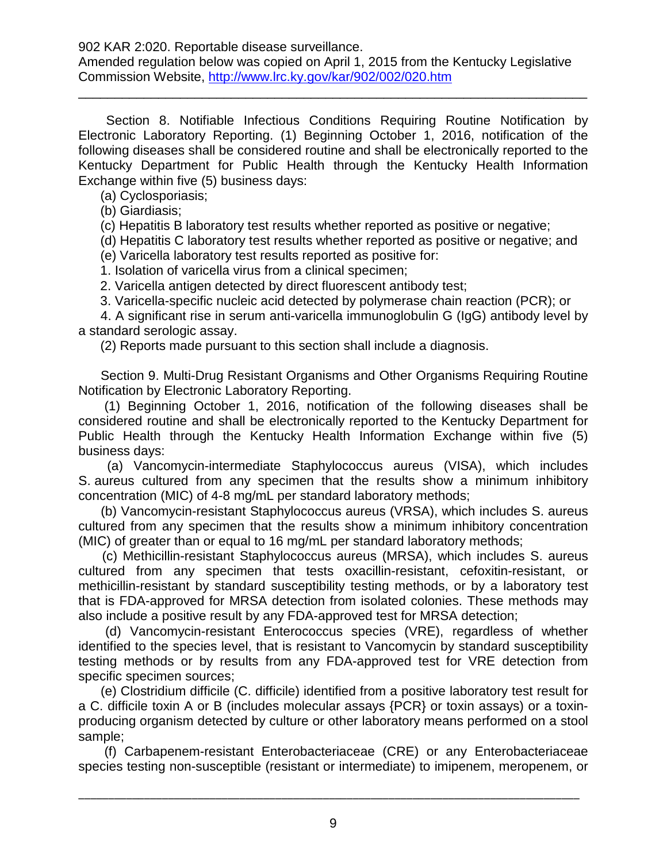\_\_\_\_\_\_\_\_\_\_\_\_\_\_\_\_\_\_\_\_\_\_\_\_\_\_\_\_\_\_\_\_\_\_\_\_\_\_\_\_\_\_\_\_\_\_\_\_\_\_\_\_\_\_\_\_\_\_\_\_\_\_\_\_\_\_\_\_\_\_

 Section 8. Notifiable Infectious Conditions Requiring Routine Notification by Electronic Laboratory Reporting. (1) Beginning October 1, 2016, notification of the following diseases shall be considered routine and shall be electronically reported to the Kentucky Department for Public Health through the Kentucky Health Information Exchange within five (5) business days:

(a) Cyclosporiasis;

(b) Giardiasis;

(c) Hepatitis B laboratory test results whether reported as positive or negative;

(d) Hepatitis C laboratory test results whether reported as positive or negative; and

(e) Varicella laboratory test results reported as positive for:

1. Isolation of varicella virus from a clinical specimen;

2. Varicella antigen detected by direct fluorescent antibody test;

3. Varicella-specific nucleic acid detected by polymerase chain reaction (PCR); or

 4. A significant rise in serum anti-varicella immunoglobulin G (IgG) antibody level by a standard serologic assay.

(2) Reports made pursuant to this section shall include a diagnosis.

 Section 9. Multi-Drug Resistant Organisms and Other Organisms Requiring Routine Notification by Electronic Laboratory Reporting.

 (1) Beginning October 1, 2016, notification of the following diseases shall be considered routine and shall be electronically reported to the Kentucky Department for Public Health through the Kentucky Health Information Exchange within five (5) business days:

 (a) Vancomycin-intermediate Staphylococcus aureus (VISA), which includes S. aureus cultured from any specimen that the results show a minimum inhibitory concentration (MIC) of 4-8 mg/mL per standard laboratory methods;

 (b) Vancomycin-resistant Staphylococcus aureus (VRSA), which includes S. aureus cultured from any specimen that the results show a minimum inhibitory concentration (MIC) of greater than or equal to 16 mg/mL per standard laboratory methods;

 (c) Methicillin-resistant Staphylococcus aureus (MRSA), which includes S. aureus cultured from any specimen that tests oxacillin-resistant, cefoxitin-resistant, or methicillin-resistant by standard susceptibility testing methods, or by a laboratory test that is FDA-approved for MRSA detection from isolated colonies. These methods may also include a positive result by any FDA-approved test for MRSA detection;

 (d) Vancomycin-resistant Enterococcus species (VRE), regardless of whether identified to the species level, that is resistant to Vancomycin by standard susceptibility testing methods or by results from any FDA-approved test for VRE detection from specific specimen sources;

 (e) Clostridium difficile (C. difficile) identified from a positive laboratory test result for a C. difficile toxin A or B (includes molecular assays {PCR} or toxin assays) or a toxinproducing organism detected by culture or other laboratory means performed on a stool sample;

 (f) Carbapenem-resistant Enterobacteriaceae (CRE) or any Enterobacteriaceae species testing non-susceptible (resistant or intermediate) to imipenem, meropenem, or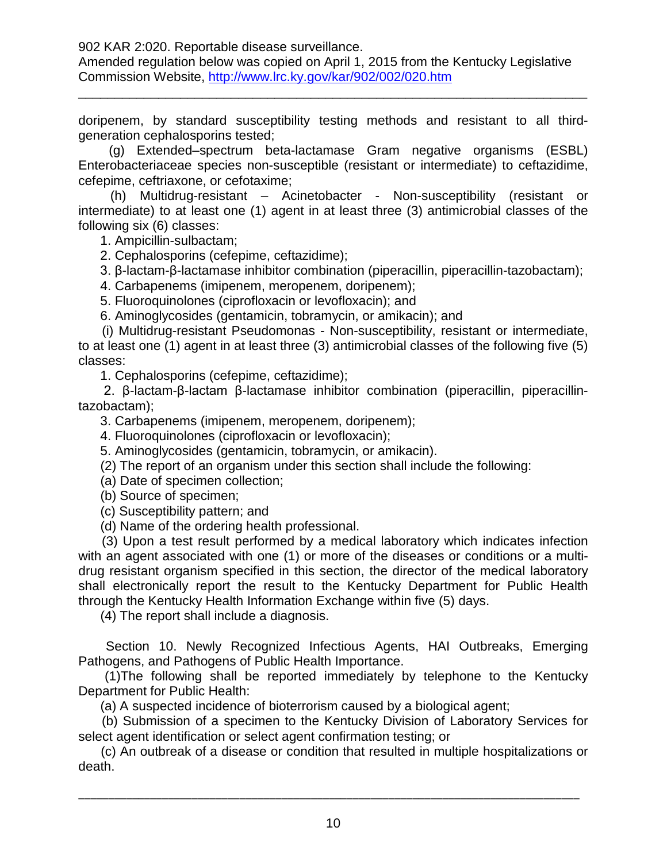Amended regulation below was copied on April 1, 2015 from the Kentucky Legislative Commission Website,<http://www.lrc.ky.gov/kar/902/002/020.htm>

doripenem, by standard susceptibility testing methods and resistant to all thirdgeneration cephalosporins tested;

\_\_\_\_\_\_\_\_\_\_\_\_\_\_\_\_\_\_\_\_\_\_\_\_\_\_\_\_\_\_\_\_\_\_\_\_\_\_\_\_\_\_\_\_\_\_\_\_\_\_\_\_\_\_\_\_\_\_\_\_\_\_\_\_\_\_\_\_\_\_

 (g) Extended–spectrum beta-lactamase Gram negative organisms (ESBL) Enterobacteriaceae species non-susceptible (resistant or intermediate) to ceftazidime, cefepime, ceftriaxone, or cefotaxime;

 (h) Multidrug-resistant – Acinetobacter - Non-susceptibility (resistant or intermediate) to at least one (1) agent in at least three (3) antimicrobial classes of the following six (6) classes:

1. Ampicillin-sulbactam;

2. Cephalosporins (cefepime, ceftazidime);

3. β-lactam-β-lactamase inhibitor combination (piperacillin, piperacillin-tazobactam);

4. Carbapenems (imipenem, meropenem, doripenem);

5. Fluoroquinolones (ciprofloxacin or levofloxacin); and

6. Aminoglycosides (gentamicin, tobramycin, or amikacin); and

 (i) Multidrug-resistant Pseudomonas - Non-susceptibility, resistant or intermediate, to at least one (1) agent in at least three (3) antimicrobial classes of the following five (5) classes:

1. Cephalosporins (cefepime, ceftazidime);

 2. β-lactam-β-lactam β-lactamase inhibitor combination (piperacillin, piperacillintazobactam);

3. Carbapenems (imipenem, meropenem, doripenem);

4. Fluoroquinolones (ciprofloxacin or levofloxacin);

5. Aminoglycosides (gentamicin, tobramycin, or amikacin).

(2) The report of an organism under this section shall include the following:

- (a) Date of specimen collection;
- (b) Source of specimen;

(c) Susceptibility pattern; and

(d) Name of the ordering health professional.

 (3) Upon a test result performed by a medical laboratory which indicates infection with an agent associated with one (1) or more of the diseases or conditions or a multidrug resistant organism specified in this section, the director of the medical laboratory shall electronically report the result to the Kentucky Department for Public Health through the Kentucky Health Information Exchange within five (5) days.

(4) The report shall include a diagnosis.

 Section 10. Newly Recognized Infectious Agents, HAI Outbreaks, Emerging Pathogens, and Pathogens of Public Health Importance.

 (1)The following shall be reported immediately by telephone to the Kentucky Department for Public Health:

(a) A suspected incidence of bioterrorism caused by a biological agent;

 (b) Submission of a specimen to the Kentucky Division of Laboratory Services for select agent identification or select agent confirmation testing; or

 (c) An outbreak of a disease or condition that resulted in multiple hospitalizations or death.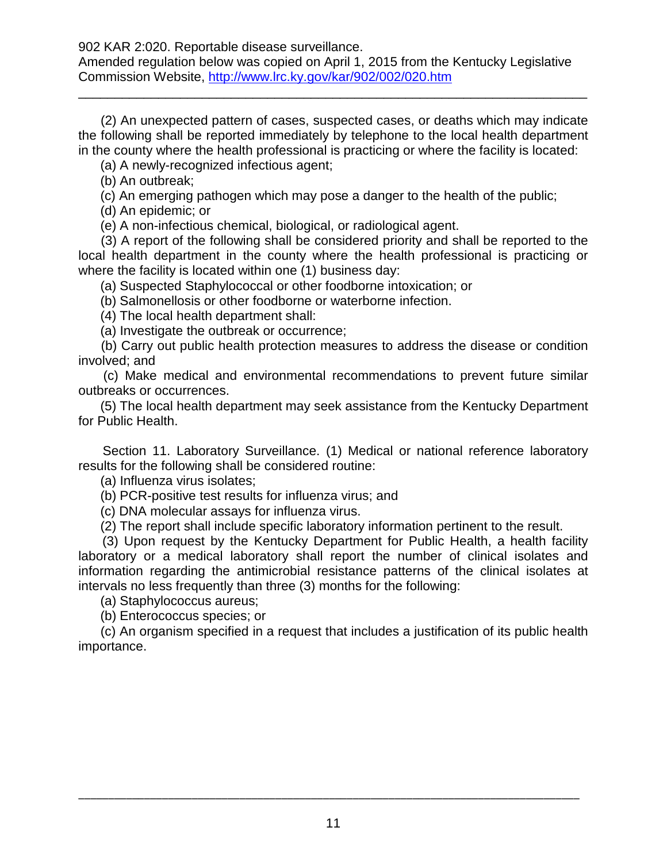(2) An unexpected pattern of cases, suspected cases, or deaths which may indicate the following shall be reported immediately by telephone to the local health department in the county where the health professional is practicing or where the facility is located:

\_\_\_\_\_\_\_\_\_\_\_\_\_\_\_\_\_\_\_\_\_\_\_\_\_\_\_\_\_\_\_\_\_\_\_\_\_\_\_\_\_\_\_\_\_\_\_\_\_\_\_\_\_\_\_\_\_\_\_\_\_\_\_\_\_\_\_\_\_\_

(a) A newly-recognized infectious agent;

(b) An outbreak;

(c) An emerging pathogen which may pose a danger to the health of the public;

(d) An epidemic; or

(e) A non-infectious chemical, biological, or radiological agent.

 (3) A report of the following shall be considered priority and shall be reported to the local health department in the county where the health professional is practicing or where the facility is located within one (1) business day:

(a) Suspected Staphylococcal or other foodborne intoxication; or

(b) Salmonellosis or other foodborne or waterborne infection.

(4) The local health department shall:

(a) Investigate the outbreak or occurrence;

 (b) Carry out public health protection measures to address the disease or condition involved; and

 (c) Make medical and environmental recommendations to prevent future similar outbreaks or occurrences.

 (5) The local health department may seek assistance from the Kentucky Department for Public Health.

 Section 11. Laboratory Surveillance. (1) Medical or national reference laboratory results for the following shall be considered routine:

(a) Influenza virus isolates;

(b) PCR-positive test results for influenza virus; and

(c) DNA molecular assays for influenza virus.

(2) The report shall include specific laboratory information pertinent to the result.

 (3) Upon request by the Kentucky Department for Public Health, a health facility laboratory or a medical laboratory shall report the number of clinical isolates and information regarding the antimicrobial resistance patterns of the clinical isolates at intervals no less frequently than three (3) months for the following:

(a) Staphylococcus aureus;

(b) Enterococcus species; or

 (c) An organism specified in a request that includes a justification of its public health importance.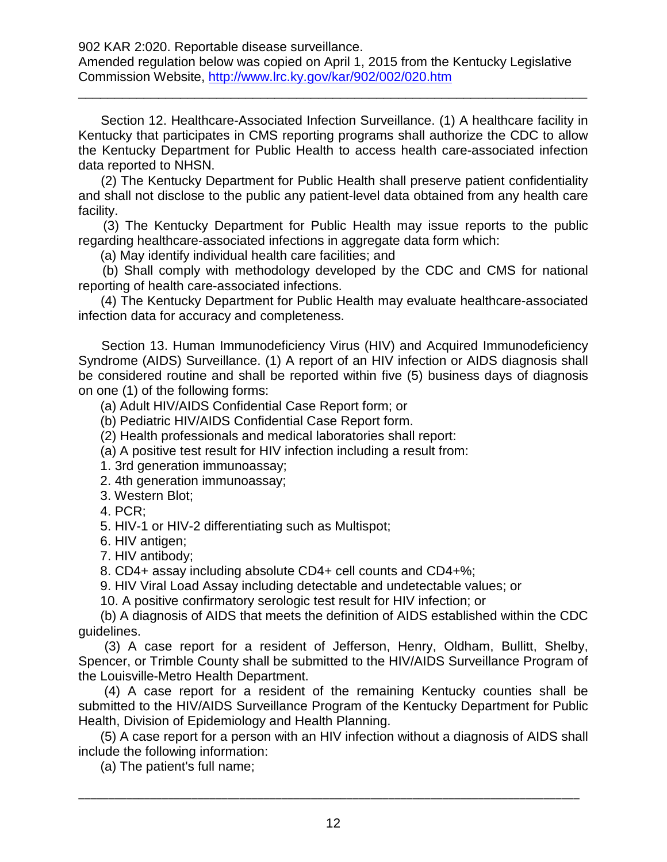\_\_\_\_\_\_\_\_\_\_\_\_\_\_\_\_\_\_\_\_\_\_\_\_\_\_\_\_\_\_\_\_\_\_\_\_\_\_\_\_\_\_\_\_\_\_\_\_\_\_\_\_\_\_\_\_\_\_\_\_\_\_\_\_\_\_\_\_\_\_

 Section 12. Healthcare-Associated Infection Surveillance. (1) A healthcare facility in Kentucky that participates in CMS reporting programs shall authorize the CDC to allow the Kentucky Department for Public Health to access health care-associated infection data reported to NHSN.

 (2) The Kentucky Department for Public Health shall preserve patient confidentiality and shall not disclose to the public any patient-level data obtained from any health care facility.

 (3) The Kentucky Department for Public Health may issue reports to the public regarding healthcare-associated infections in aggregate data form which:

(a) May identify individual health care facilities; and

 (b) Shall comply with methodology developed by the CDC and CMS for national reporting of health care-associated infections.

 (4) The Kentucky Department for Public Health may evaluate healthcare-associated infection data for accuracy and completeness.

 Section 13. Human Immunodeficiency Virus (HIV) and Acquired Immunodeficiency Syndrome (AIDS) Surveillance. (1) A report of an HIV infection or AIDS diagnosis shall be considered routine and shall be reported within five (5) business days of diagnosis on one (1) of the following forms:

(a) Adult HIV/AIDS Confidential Case Report form; or

(b) Pediatric HIV/AIDS Confidential Case Report form.

(2) Health professionals and medical laboratories shall report:

(a) A positive test result for HIV infection including a result from:

1. 3rd generation immunoassay;

2. 4th generation immunoassay;

3. Western Blot;

4. PCR;

5. HIV-1 or HIV-2 differentiating such as Multispot;

6. HIV antigen;

7. HIV antibody;

8. CD4+ assay including absolute CD4+ cell counts and CD4+%;

9. HIV Viral Load Assay including detectable and undetectable values; or

10. A positive confirmatory serologic test result for HIV infection; or

 (b) A diagnosis of AIDS that meets the definition of AIDS established within the CDC guidelines.

 (3) A case report for a resident of Jefferson, Henry, Oldham, Bullitt, Shelby, Spencer, or Trimble County shall be submitted to the HIV/AIDS Surveillance Program of the Louisville-Metro Health Department.

 (4) A case report for a resident of the remaining Kentucky counties shall be submitted to the HIV/AIDS Surveillance Program of the Kentucky Department for Public Health, Division of Epidemiology and Health Planning.

 (5) A case report for a person with an HIV infection without a diagnosis of AIDS shall include the following information:

(a) The patient's full name;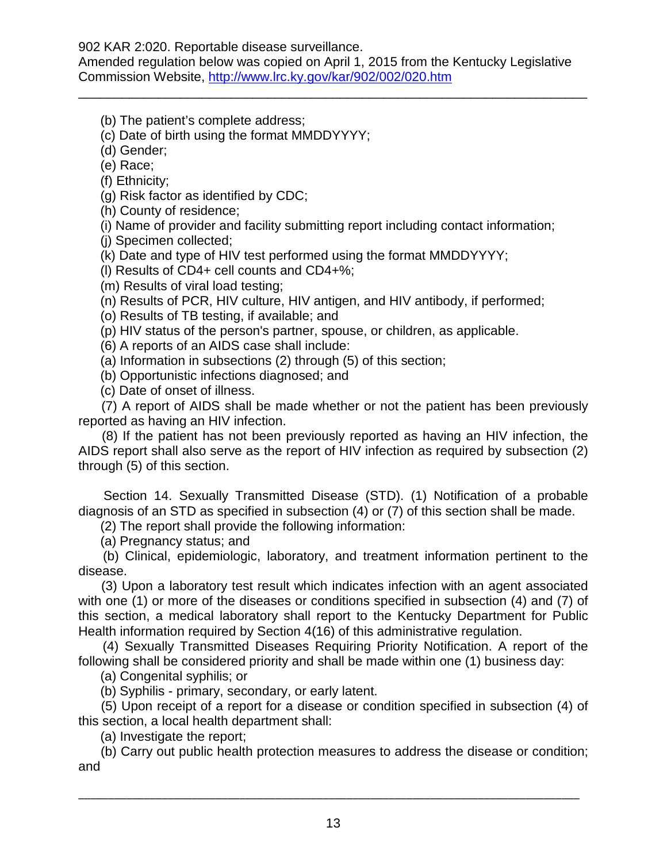Amended regulation below was copied on April 1, 2015 from the Kentucky Legislative Commission Website,<http://www.lrc.ky.gov/kar/902/002/020.htm>

\_\_\_\_\_\_\_\_\_\_\_\_\_\_\_\_\_\_\_\_\_\_\_\_\_\_\_\_\_\_\_\_\_\_\_\_\_\_\_\_\_\_\_\_\_\_\_\_\_\_\_\_\_\_\_\_\_\_\_\_\_\_\_\_\_\_\_\_\_\_

(b) The patient's complete address;

(c) Date of birth using the format MMDDYYYY;

(d) Gender;

(e) Race;

(f) Ethnicity;

(g) Risk factor as identified by CDC;

(h) County of residence;

(i) Name of provider and facility submitting report including contact information;

(j) Specimen collected;

(k) Date and type of HIV test performed using the format MMDDYYYY;

(l) Results of CD4+ cell counts and CD4+%;

(m) Results of viral load testing;

(n) Results of PCR, HIV culture, HIV antigen, and HIV antibody, if performed;

(o) Results of TB testing, if available; and

(p) HIV status of the person's partner, spouse, or children, as applicable.

(6) A reports of an AIDS case shall include:

(a) Information in subsections (2) through (5) of this section;

(b) Opportunistic infections diagnosed; and

(c) Date of onset of illness.

 (7) A report of AIDS shall be made whether or not the patient has been previously reported as having an HIV infection.

 (8) If the patient has not been previously reported as having an HIV infection, the AIDS report shall also serve as the report of HIV infection as required by subsection (2) through (5) of this section.

 Section 14. Sexually Transmitted Disease (STD). (1) Notification of a probable diagnosis of an STD as specified in subsection (4) or (7) of this section shall be made.

(2) The report shall provide the following information:

(a) Pregnancy status; and

 (b) Clinical, epidemiologic, laboratory, and treatment information pertinent to the disease.

 (3) Upon a laboratory test result which indicates infection with an agent associated with one (1) or more of the diseases or conditions specified in subsection (4) and (7) of this section, a medical laboratory shall report to the Kentucky Department for Public Health information required by Section 4(16) of this administrative regulation.

 (4) Sexually Transmitted Diseases Requiring Priority Notification. A report of the following shall be considered priority and shall be made within one (1) business day:

(a) Congenital syphilis; or

(b) Syphilis - primary, secondary, or early latent.

 (5) Upon receipt of a report for a disease or condition specified in subsection (4) of this section, a local health department shall:

(a) Investigate the report;

 (b) Carry out public health protection measures to address the disease or condition; and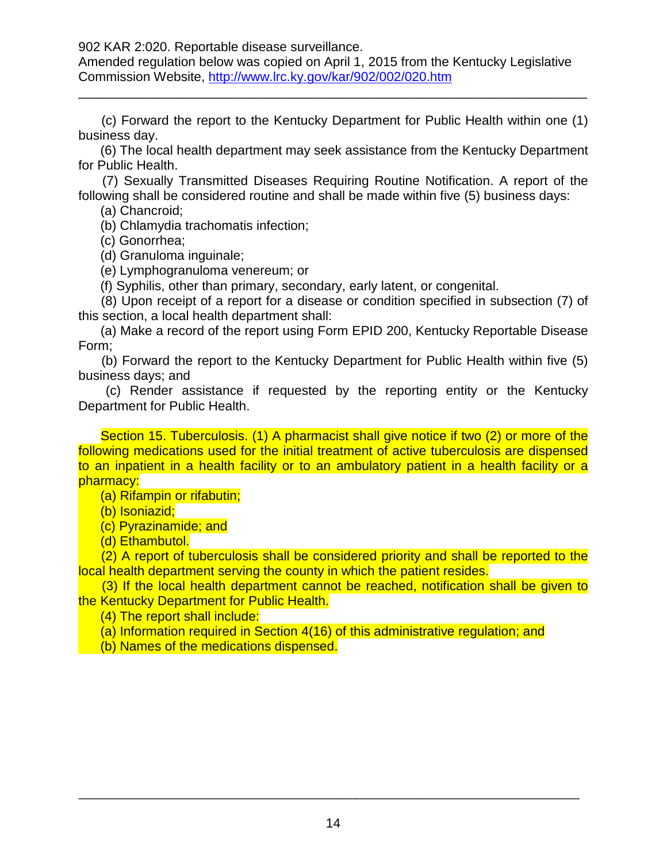Amended regulation below was copied on April 1, 2015 from the Kentucky Legislative Commission Website,<http://www.lrc.ky.gov/kar/902/002/020.htm>

 (c) Forward the report to the Kentucky Department for Public Health within one (1) business day.

\_\_\_\_\_\_\_\_\_\_\_\_\_\_\_\_\_\_\_\_\_\_\_\_\_\_\_\_\_\_\_\_\_\_\_\_\_\_\_\_\_\_\_\_\_\_\_\_\_\_\_\_\_\_\_\_\_\_\_\_\_\_\_\_\_\_\_\_\_\_

 (6) The local health department may seek assistance from the Kentucky Department for Public Health.

 (7) Sexually Transmitted Diseases Requiring Routine Notification. A report of the following shall be considered routine and shall be made within five (5) business days:

(a) Chancroid;

(b) Chlamydia trachomatis infection;

(c) Gonorrhea;

(d) Granuloma inguinale;

(e) Lymphogranuloma venereum; or

(f) Syphilis, other than primary, secondary, early latent, or congenital.

 (8) Upon receipt of a report for a disease or condition specified in subsection (7) of this section, a local health department shall:

 (a) Make a record of the report using Form EPID 200, Kentucky Reportable Disease Form;

 (b) Forward the report to the Kentucky Department for Public Health within five (5) business days; and

 (c) Render assistance if requested by the reporting entity or the Kentucky Department for Public Health.

 Section 15. Tuberculosis. (1) A pharmacist shall give notice if two (2) or more of the following medications used for the initial treatment of active tuberculosis are dispensed to an inpatient in a health facility or to an ambulatory patient in a health facility or a pharmacy:

(a) Rifampin or rifabutin;

(b) Isoniazid;

(c) Pyrazinamide; and

(d) Ethambutol.

 (2) A report of tuberculosis shall be considered priority and shall be reported to the local health department serving the county in which the patient resides.

 (3) If the local health department cannot be reached, notification shall be given to the Kentucky Department for Public Health.

(4) The report shall include:

(a) Information required in Section 4(16) of this administrative regulation; and

(b) Names of the medications dispensed.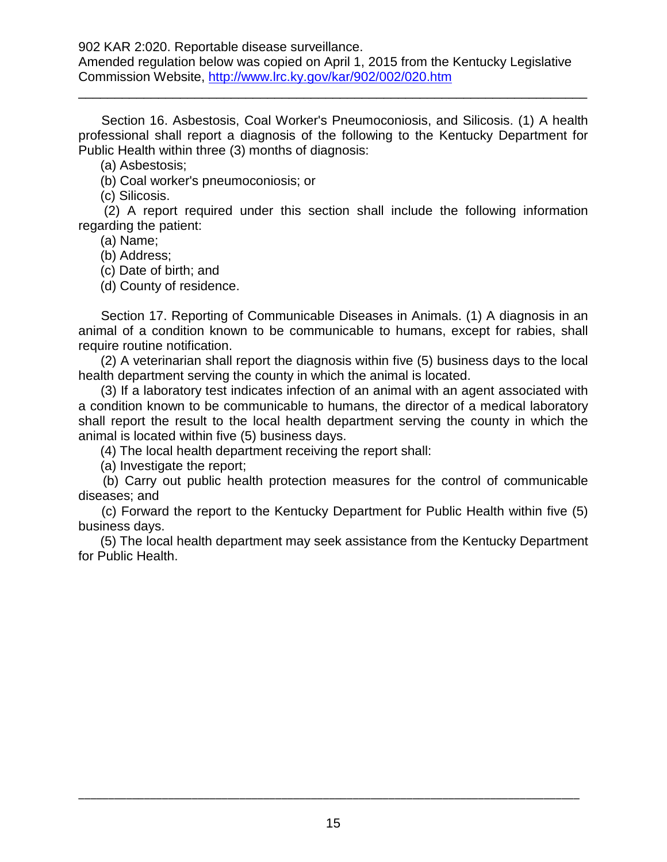Amended regulation below was copied on April 1, 2015 from the Kentucky Legislative Commission Website,<http://www.lrc.ky.gov/kar/902/002/020.htm>

 Section 16. Asbestosis, Coal Worker's Pneumoconiosis, and Silicosis. (1) A health professional shall report a diagnosis of the following to the Kentucky Department for Public Health within three (3) months of diagnosis:

\_\_\_\_\_\_\_\_\_\_\_\_\_\_\_\_\_\_\_\_\_\_\_\_\_\_\_\_\_\_\_\_\_\_\_\_\_\_\_\_\_\_\_\_\_\_\_\_\_\_\_\_\_\_\_\_\_\_\_\_\_\_\_\_\_\_\_\_\_\_

(a) Asbestosis;

(b) Coal worker's pneumoconiosis; or

(c) Silicosis.

 (2) A report required under this section shall include the following information regarding the patient:

(a) Name;

(b) Address;

(c) Date of birth; and

(d) County of residence.

 Section 17. Reporting of Communicable Diseases in Animals. (1) A diagnosis in an animal of a condition known to be communicable to humans, except for rabies, shall require routine notification.

 (2) A veterinarian shall report the diagnosis within five (5) business days to the local health department serving the county in which the animal is located.

 (3) If a laboratory test indicates infection of an animal with an agent associated with a condition known to be communicable to humans, the director of a medical laboratory shall report the result to the local health department serving the county in which the animal is located within five (5) business days.

(4) The local health department receiving the report shall:

(a) Investigate the report;

 (b) Carry out public health protection measures for the control of communicable diseases; and

 (c) Forward the report to the Kentucky Department for Public Health within five (5) business days.

 (5) The local health department may seek assistance from the Kentucky Department for Public Health.